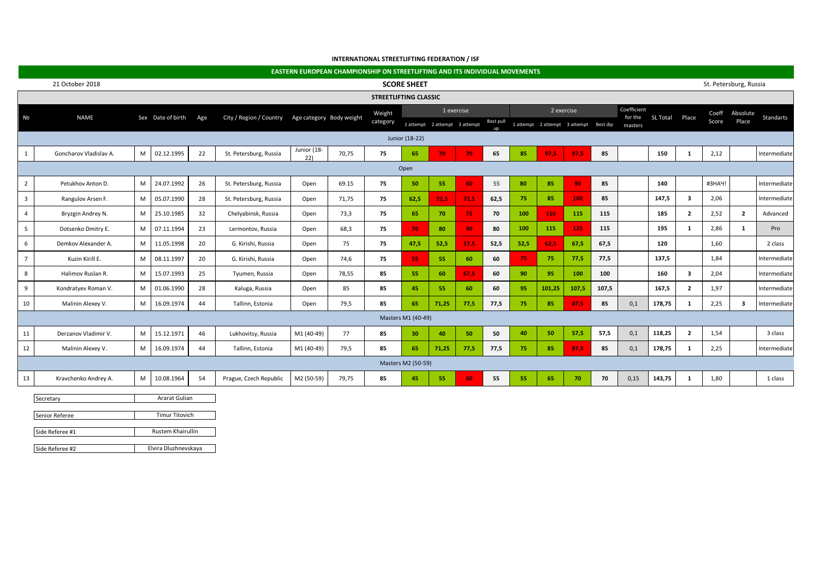|                                         |                        |                   |                       |     |                         |                          | <b>EASTERN EUROPEAN CHAMPIONSHIP ON STREETLIFTING AND ITS INDIVIDUAL MOVEMENTS</b> |                              |                    |                               |            |           |      |                                        |       |       |                    |                 |                         |        |                         |                  |
|-----------------------------------------|------------------------|-------------------|-----------------------|-----|-------------------------|--------------------------|------------------------------------------------------------------------------------|------------------------------|--------------------|-------------------------------|------------|-----------|------|----------------------------------------|-------|-------|--------------------|-----------------|-------------------------|--------|-------------------------|------------------|
|                                         | 21 October 2018        |                   |                       |     |                         |                          |                                                                                    |                              | <b>SCORE SHEET</b> |                               |            |           |      |                                        |       |       |                    |                 |                         |        | St. Petersburg, Russia  |                  |
|                                         |                        |                   |                       |     |                         |                          |                                                                                    | <b>STREETLIFTING CLASSIC</b> |                    |                               |            |           |      |                                        |       |       |                    |                 |                         |        |                         |                  |
|                                         | <b>NAME</b>            |                   |                       |     |                         |                          |                                                                                    | Weight                       |                    |                               | 1 exercise |           |      | 2 exercise                             |       |       | Coefficient        |                 |                         | Coeff  | Absolute                |                  |
| N <sub>2</sub>                          |                        |                   | Sex Date of birth     | Age | City / Region / Country | Age category Body weight |                                                                                    | category                     |                    | 1 attempt 2 attempt 3 attempt |            | Best pull |      | 1 attempt 2 attempt 3 attempt Best dip |       |       | for the<br>masters | <b>SL Total</b> | Place                   | Score  | Place                   | <b>Standarts</b> |
|                                         |                        |                   |                       |     |                         |                          |                                                                                    |                              | Junior (18-22)     |                               |            |           |      |                                        |       |       |                    |                 |                         |        |                         |                  |
| $\mathbf{1}$                            | Goncharov Vladislav A. | M                 | 02.12.1995            | 22  | St. Petersburg, Russia  | Junior (18-<br>22)       | 70,75                                                                              | 75                           | 65                 | 70                            | 70         | 65        | 85   | 97,5                                   | 97,5  | 85    |                    | 150             | 1                       | 2,12   |                         | Intermediate     |
|                                         | Open                   |                   |                       |     |                         |                          |                                                                                    |                              |                    |                               |            |           |      |                                        |       |       |                    |                 |                         |        |                         |                  |
| $\overline{2}$                          | Petukhov Anton D.      | M                 | 24.07.1992            | 26  | St. Petersburg, Russia  | Open                     | 69.15                                                                              | 75                           | 50                 | 55                            | 60         | 55        | 80   | 85                                     | 90    | 85    |                    | 140             |                         | #3HA4! |                         | Intermediate     |
| $\overline{\mathbf{3}}$                 | Rangulov Arsen F.      | M                 | 05.07.1990            | 28  | St. Petersburg, Russia  | Open                     | 71,75                                                                              | 75                           | 62,5               | 72,5                          | 72,5       | 62,5      | 75   | 85                                     | 100   | 85    |                    | 147,5           | $\overline{\mathbf{3}}$ | 2,06   |                         | Intermediate     |
| $\overline{4}$                          | Bryzgin Andrey N.      | M                 | 25.10.1985            | 32  | Chelyabinsk, Russia     | Open                     | 73,3                                                                               | 75                           | 65                 | 70                            | 75.        | 70        | 100  | 110                                    | 115   | 115   |                    | 185             | $\overline{2}$          | 2,52   | $\overline{2}$          | Advanced         |
| 5                                       | Dotsenko Dmitry E.     | M                 | 07.11.1994            | 23  | Lermontov, Russia       | Open                     | 68,3                                                                               | 75                           | 70                 | 80                            | 90         | 80        | 100  | 115                                    | 125   | 115   |                    | 195             | 1                       | 2,86   | 1                       | Pro              |
| 6                                       | Demkov Alexander A.    | M                 | 11.05.1998            | 20  | G. Kirishi, Russia      | Open                     | 75                                                                                 | 75                           | 47,5               | 52,5                          | 57,5       | 52,5      | 52,5 | 62,5                                   | 67,5  | 67,5  |                    | 120             |                         | 1,60   |                         | 2 class          |
| $\overline{7}$                          | Kuzin Kirill E.        | M                 | 08.11.1997            | 20  | G. Kirishi, Russia      | Open                     | 74,6                                                                               | 75                           | 55                 | -55                           | 60         | 60        | 75   | 75                                     | 77,5  | 77,5  |                    | 137,5           |                         | 1,84   |                         | Intermediate     |
| 8                                       | Halimov Ruslan R.      | M                 | 15.07.1993            | 25  | Tyumen, Russia          | Open                     | 78,55                                                                              | 85                           | 55                 | 60                            | 67,5       | 60        | 90   | 95                                     | 100   | 100   |                    | 160             | $\overline{\mathbf{3}}$ | 2,04   |                         | Intermediate     |
| 9                                       | Kondratyev Roman V.    | M                 | 01.06.1990            | 28  | Kaluga, Russia          | Open                     | 85                                                                                 | 85                           | 45                 | 55                            | 60         | 60        | 95   | 101,25                                 | 107,5 | 107,5 |                    | 167,5           | $\overline{2}$          | 1,97   |                         | Intermediate     |
| 10                                      | Malinin Alexey V.      | M                 | 16.09.1974            | 44  | Tallinn, Estonia        | Open                     | 79,5                                                                               | 85                           | 65                 | 71,25                         | 77,5       | 77,5      | 75   | 85                                     | 87,5  | 85    | 0,1                | 178,75          | 1                       | 2,25   | $\overline{\mathbf{3}}$ | Intermediate     |
|                                         |                        |                   |                       |     |                         |                          |                                                                                    |                              | Masters M1 (40-49) |                               |            |           |      |                                        |       |       |                    |                 |                         |        |                         |                  |
| 11                                      | Derzanov Vladimir V.   | M                 | 15.12.1971            | 46  | Lukhovitsy, Russia      | M1 (40-49)               | 77                                                                                 | 85                           | 30                 | 40                            | 50         | 50        | 40   | 50                                     | 57,5  | 57,5  | 0,1                | 118,25          | $\overline{2}$          | 1,54   |                         | 3 class          |
| 12                                      | Malinin Alexey V.      | M                 | 16.09.1974            | 44  | Tallinn, Estonia        | M1 (40-49)               | 79,5                                                                               | 85                           | 65                 | 71,25                         | 77,5       | 77,5      | 75   | 85                                     | 87,5  | 85    | 0,1                | 178,75          | 1                       | 2,25   |                         | Intermediate     |
|                                         | Masters M2 (50-59)     |                   |                       |     |                         |                          |                                                                                    |                              |                    |                               |            |           |      |                                        |       |       |                    |                 |                         |        |                         |                  |
| 13                                      | Kravchenko Andrey A.   | M                 | 10.08.1964            | 54  | Prague, Czech Republic  | M2 (50-59)               | 79,75                                                                              | 85                           | 45                 | 55                            | 60         | 55        | 55   | 65                                     | 70    | 70    | 0,15               | 143,75          | 1                       | 1,80   |                         | 1 class          |
| Ararat Gulian<br>Secretary              |                        |                   |                       |     |                         |                          |                                                                                    |                              |                    |                               |            |           |      |                                        |       |       |                    |                 |                         |        |                         |                  |
|                                         |                        |                   |                       |     |                         |                          |                                                                                    |                              |                    |                               |            |           |      |                                        |       |       |                    |                 |                         |        |                         |                  |
|                                         | Senior Referee         |                   | <b>Timur Titovich</b> |     |                         |                          |                                                                                    |                              |                    |                               |            |           |      |                                        |       |       |                    |                 |                         |        |                         |                  |
|                                         | Side Referee #1        | Rustem Khairullin |                       |     |                         |                          |                                                                                    |                              |                    |                               |            |           |      |                                        |       |       |                    |                 |                         |        |                         |                  |
| Side Referee #2<br>Elvira Dluzhnevskaya |                        |                   |                       |     |                         |                          |                                                                                    |                              |                    |                               |            |           |      |                                        |       |       |                    |                 |                         |        |                         |                  |

## **INTERNATIONAL STREETLIFTING FEDERATION / ISF**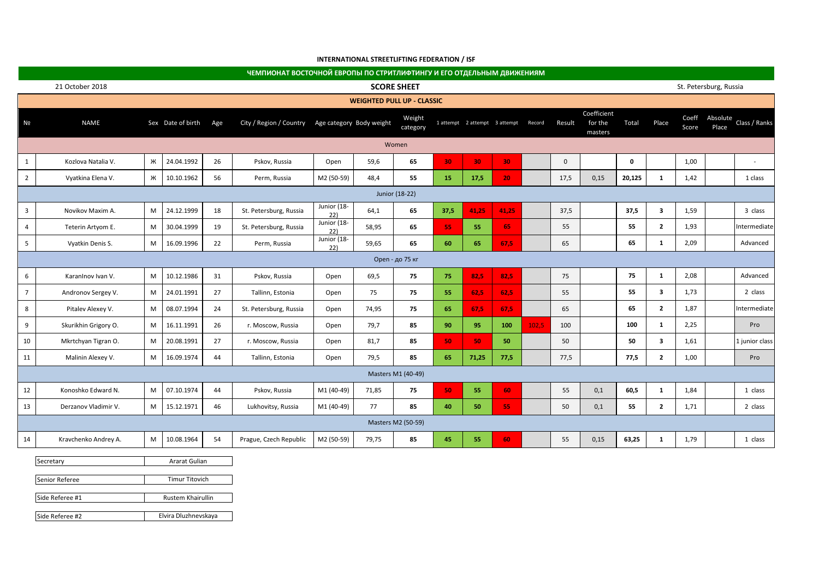|                 |                      |                          |                       |    | ЧЕМПИОНАТ ВОСТОЧНОЙ ЕВРОПЫ ПО СТРИТЛИФТИНГУ И ЕГО ОТДЕЛЬНЫМ ДВИЖЕНИЯМ |                                                |       |                                   |      |                               |                 |        |          |                                   |        |                |                |                                    |
|-----------------|----------------------|--------------------------|-----------------------|----|-----------------------------------------------------------------------|------------------------------------------------|-------|-----------------------------------|------|-------------------------------|-----------------|--------|----------|-----------------------------------|--------|----------------|----------------|------------------------------------|
|                 | 21 October 2018      |                          |                       |    |                                                                       |                                                |       | <b>SCORE SHEET</b>                |      |                               |                 |        |          |                                   |        |                |                | St. Petersburg, Russia             |
|                 |                      |                          |                       |    |                                                                       |                                                |       | <b>WEIGHTED PULL UP - CLASSIC</b> |      |                               |                 |        |          |                                   |        |                |                |                                    |
| N2              | <b>NAME</b>          | Sex Date of birth<br>Age |                       |    | City / Region / Country                                               | Weight<br>Age category Body weight<br>category |       |                                   |      | 1 attempt 2 attempt 3 attempt |                 | Record | Result   | Coefficient<br>for the<br>masters | Total  | Place          | Coeff<br>Score | Absolute<br>Class / Ranks<br>Place |
|                 |                      |                          |                       |    |                                                                       | Women                                          |       |                                   |      |                               |                 |        |          |                                   |        |                |                |                                    |
| $\mathbf{1}$    | Kozlova Natalia V.   | Ж                        | 24.04.1992            | 26 | Pskov, Russia                                                         | Open                                           | 59,6  | 65                                | 30   | 30                            | 30              |        | $\Omega$ |                                   | 0      |                | 1,00           | $\overline{\phantom{a}}$           |
| $\overline{2}$  | Vyatkina Elena V.    | Ж                        | 10.10.1962            | 56 | Perm, Russia                                                          | M2 (50-59)                                     | 48,4  | 55                                | 15   | 17,5                          | 20 <sub>1</sub> |        | 17,5     | 0,15                              | 20,125 | $\mathbf{1}$   | 1,42           | 1 class                            |
|                 | Junior (18-22)       |                          |                       |    |                                                                       |                                                |       |                                   |      |                               |                 |        |          |                                   |        |                |                |                                    |
| 3               | Novikov Maxim A.     | M                        | 24.12.1999            | 18 | St. Petersburg, Russia                                                | Junior (18-<br>22)                             | 64,1  | 65                                | 37,5 | 41,25                         | 41,25           |        | 37,5     |                                   | 37,5   | $\mathbf{3}$   | 1,59           | 3 class                            |
| $\overline{4}$  | Teterin Artyom E.    | M                        | 30.04.1999            | 19 | St. Petersburg, Russia                                                | Junior (18-<br>22)                             | 58,95 | 65                                | 55   | 55                            | 65              |        | 55       |                                   | 55     | $\overline{2}$ | 1,93           | Intermediate                       |
| 5               | Vyatkin Denis S.     | M                        | 16.09.1996            | 22 | Perm, Russia                                                          | Junior (18-<br>22)                             | 59,65 | 65                                | 60   | 65                            | 67,5            |        | 65       |                                   | 65     | $\mathbf{1}$   | 2,09           | Advanced                           |
| Open - до 75 кг |                      |                          |                       |    |                                                                       |                                                |       |                                   |      |                               |                 |        |          |                                   |        |                |                |                                    |
| 6               | Karanlnov Ivan V.    | M                        | 10.12.1986            | 31 | Pskov, Russia                                                         | Open                                           | 69,5  | 75                                | 75   | 82,5                          | 82,5            |        | 75       |                                   | 75     | $\mathbf{1}$   | 2,08           | Advanced                           |
| $\overline{7}$  | Andronov Sergey V.   | M                        | 24.01.1991            | 27 | Tallinn, Estonia                                                      | Open                                           | 75    | 75                                | 55   | 62,5                          | 62,5            |        | 55       |                                   | 55     | $\mathbf{3}$   | 1,73           | 2 class                            |
| 8               | Pitalev Alexey V.    | M                        | 08.07.1994            | 24 | St. Petersburg, Russia                                                | Open                                           | 74,95 | 75                                | 65   | 67,5                          | 67,5            |        | 65       |                                   | 65     | $\overline{2}$ | 1,87           | Intermediate                       |
| 9               | Skurikhin Grigory O. | M                        | 16.11.1991            | 26 | r. Moscow, Russia                                                     | Open                                           | 79,7  | 85                                | 90   | 95                            | 100             | 102,5  | 100      |                                   | 100    | $\mathbf{1}$   | 2,25           | Pro                                |
| 10              | Mkrtchyan Tigran O.  | M                        | 20.08.1991            | 27 | r. Moscow, Russia                                                     | Open                                           | 81,7  | 85                                | 50   | 50                            | 50              |        | 50       |                                   | 50     | $\mathbf{3}$   | 1,61           | 1 junior class                     |
| 11              | Malinin Alexey V.    | M                        | 16.09.1974            | 44 | Tallinn, Estonia                                                      | Open                                           | 79,5  | 85                                | 65   | 71,25                         | 77,5            |        | 77,5     |                                   | 77,5   | $\overline{2}$ | 1,00           | Pro                                |
|                 |                      |                          |                       |    |                                                                       |                                                |       | Masters M1 (40-49)                |      |                               |                 |        |          |                                   |        |                |                |                                    |
| 12              | Konoshko Edward N.   | M                        | 07.10.1974            | 44 | Pskov, Russia                                                         | M1 (40-49)                                     | 71,85 | 75                                | 50   | 55                            | 60              |        | 55       | 0,1                               | 60,5   | $\mathbf{1}$   | 1,84           | 1 class                            |
| 13              | Derzanov Vladimir V. | M                        | 15.12.1971            | 46 | Lukhovitsy, Russia                                                    | M1 (40-49)                                     | 77    | 85                                | 40   | 50                            | 55              |        | 50       | 0,1                               | 55     | $\overline{2}$ | 1,71           | 2 class                            |
|                 |                      |                          |                       |    |                                                                       |                                                |       | Masters M2 (50-59)                |      |                               |                 |        |          |                                   |        |                |                |                                    |
| 14              | Kravchenko Andrey A. | M                        | 10.08.1964            | 54 | Prague, Czech Republic                                                | M2 (50-59)                                     | 79,75 | 85                                | 45   | 55                            | 60              |        | 55       | 0,15                              | 63,25  | $\mathbf{1}$   | 1,79           | 1 class                            |
|                 | Secretary            |                          | Ararat Gulian         |    |                                                                       |                                                |       |                                   |      |                               |                 |        |          |                                   |        |                |                |                                    |
|                 | Senior Referee       |                          | <b>Timur Titovich</b> |    |                                                                       |                                                |       |                                   |      |                               |                 |        |          |                                   |        |                |                |                                    |
|                 | Side Referee #1      |                          | Rustem Khairullin     |    |                                                                       |                                                |       |                                   |      |                               |                 |        |          |                                   |        |                |                |                                    |

Side Referee #2

Elvira Dluzhnevskaya

## **INTERNATIONAL STREETLIFTING FEDERATION / ISF**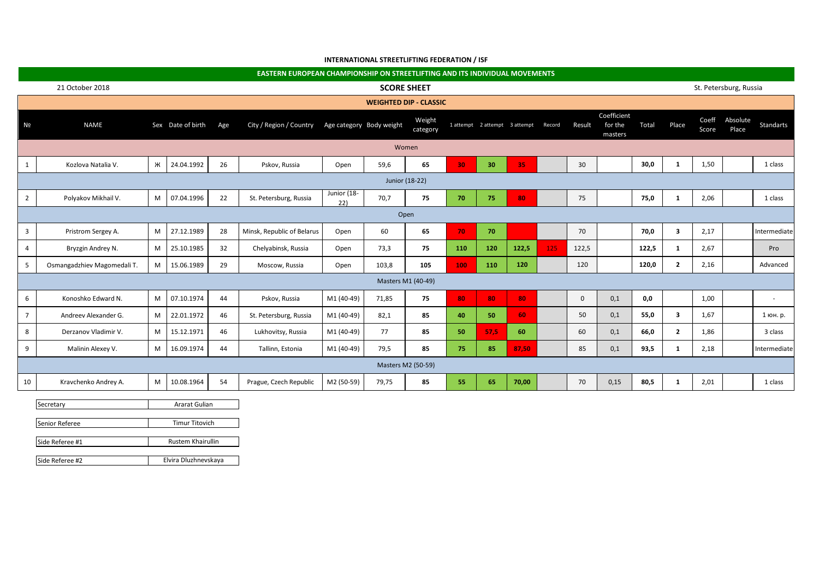|                                       |                             |                          |                       |    | <b>EASTERN EUROPEAN CHAMPIONSHIP ON STREETLIFTING AND ITS INDIVIDUAL MOVEMENTS</b> |                          |                               |                    |     |                               |       |        |             |                                   |       |                         |                |                   |                          |
|---------------------------------------|-----------------------------|--------------------------|-----------------------|----|------------------------------------------------------------------------------------|--------------------------|-------------------------------|--------------------|-----|-------------------------------|-------|--------|-------------|-----------------------------------|-------|-------------------------|----------------|-------------------|--------------------------|
| 21 October 2018<br><b>SCORE SHEET</b> |                             |                          |                       |    |                                                                                    |                          |                               |                    |     |                               |       |        |             |                                   |       | St. Petersburg, Russia  |                |                   |                          |
|                                       |                             |                          |                       |    |                                                                                    |                          | <b>WEIGHTED DIP - CLASSIC</b> |                    |     |                               |       |        |             |                                   |       |                         |                |                   |                          |
| N2                                    | <b>NAME</b>                 | Sex Date of birth<br>Age |                       |    | City / Region / Country                                                            | Age category Body weight |                               | Weight<br>category |     | 1 attempt 2 attempt 3 attempt |       | Record | Result      | Coefficient<br>for the<br>masters | Total | Place                   | Coeff<br>Score | Absolute<br>Place | <b>Standarts</b>         |
|                                       | Women                       |                          |                       |    |                                                                                    |                          |                               |                    |     |                               |       |        |             |                                   |       |                         |                |                   |                          |
| $\mathbf{1}$                          | Kozlova Natalia V.          | Ж                        | 24.04.1992            | 26 | Pskov, Russia                                                                      | Open                     | 59,6                          | 65                 | 30  | 30                            | 35    |        | 30          |                                   | 30,0  | 1                       | 1,50           |                   | 1 class                  |
| Junior (18-22)                        |                             |                          |                       |    |                                                                                    |                          |                               |                    |     |                               |       |        |             |                                   |       |                         |                |                   |                          |
| $\overline{2}$                        | Polyakov Mikhail V.         | M                        | 07.04.1996            | 22 | St. Petersburg, Russia                                                             | Junior (18-<br>22)       | 70,7                          | 75                 | 70  | 75                            | 80    |        | 75          |                                   | 75,0  | 1                       | 2,06           |                   | 1 class                  |
|                                       | Open                        |                          |                       |    |                                                                                    |                          |                               |                    |     |                               |       |        |             |                                   |       |                         |                |                   |                          |
| $\overline{\mathbf{3}}$               | Pristrom Sergey A.          | M                        | 27.12.1989            | 28 | Minsk, Republic of Belarus                                                         | Open                     | 60                            | 65                 | 70  | 70                            |       |        | 70          |                                   | 70,0  | $\overline{\mathbf{3}}$ | 2,17           |                   | Intermediate             |
| $\overline{4}$                        | Bryzgin Andrey N.           | M                        | 25.10.1985            | 32 | Chelyabinsk, Russia                                                                | Open                     | 73,3                          | 75                 | 110 | 120                           | 122,5 | 125    | 122,5       |                                   | 122,5 | $\mathbf{1}$            | 2,67           |                   | Pro                      |
| 5                                     | Osmangadzhiev Magomedali T. | M                        | 15.06.1989            | 29 | Moscow, Russia                                                                     | Open                     | 103,8                         | 105                | 100 | 110                           | 120   |        | 120         |                                   | 120,0 | $\overline{2}$          | 2,16           |                   | Advanced                 |
| Masters M1 (40-49)                    |                             |                          |                       |    |                                                                                    |                          |                               |                    |     |                               |       |        |             |                                   |       |                         |                |                   |                          |
| 6                                     | Konoshko Edward N.          | M                        | 07.10.1974            | 44 | Pskov, Russia                                                                      | M1 (40-49)               | 71,85                         | 75                 | 80  | 80                            | 80    |        | $\mathbf 0$ | 0,1                               | 0,0   |                         | 1,00           |                   | $\overline{\phantom{a}}$ |
| 7 <sup>7</sup>                        | Andreev Alexander G.        | M                        | 22.01.1972            | 46 | St. Petersburg, Russia                                                             | M1 (40-49)               | 82,1                          | 85                 | 40  | 50                            | 60    |        | 50          | 0,1                               | 55,0  | $\overline{\mathbf{3}}$ | 1,67           |                   | 1 юн. р.                 |
| 8                                     | Derzanov Vladimir V.        | M                        | 15.12.1971            | 46 | Lukhovitsy, Russia                                                                 | M1 (40-49)               | 77                            | 85                 | 50  | 57,5                          | 60    |        | 60          | 0,1                               | 66,0  | $\overline{2}$          | 1,86           |                   | 3 class                  |
| 9                                     | Malinin Alexey V.           | M                        | 16.09.1974            | 44 | Tallinn, Estonia                                                                   | M1 (40-49)               | 79.5                          | 85                 | 75  | 85                            | 87,50 |        | 85          | 0,1                               | 93,5  | 1                       | 2,18           |                   | Intermediate             |
|                                       |                             |                          |                       |    |                                                                                    |                          |                               | Masters M2 (50-59) |     |                               |       |        |             |                                   |       |                         |                |                   |                          |
| 10                                    | Kravchenko Andrey A.        | M                        | 10.08.1964            | 54 | Prague, Czech Republic                                                             | M2 (50-59)               | 79,75                         | 85                 | 55  | 65                            | 70,00 |        | 70          | 0,15                              | 80,5  | 1                       | 2,01           |                   | 1 class                  |
| Ararat Gulian<br>Secretary            |                             |                          |                       |    |                                                                                    |                          |                               |                    |     |                               |       |        |             |                                   |       |                         |                |                   |                          |
|                                       |                             |                          |                       |    |                                                                                    |                          |                               |                    |     |                               |       |        |             |                                   |       |                         |                |                   |                          |
|                                       | Senior Referee              |                          | <b>Timur Titovich</b> |    |                                                                                    |                          |                               |                    |     |                               |       |        |             |                                   |       |                         |                |                   |                          |
| Side Referee #1<br>Rustem Khairullin  |                             |                          |                       |    |                                                                                    |                          |                               |                    |     |                               |       |        |             |                                   |       |                         |                |                   |                          |

## **INTERNATIONAL STREETLIFTING FEDERATION / ISF**

Side Referee #2 **Elvira Dluzhnevskaya**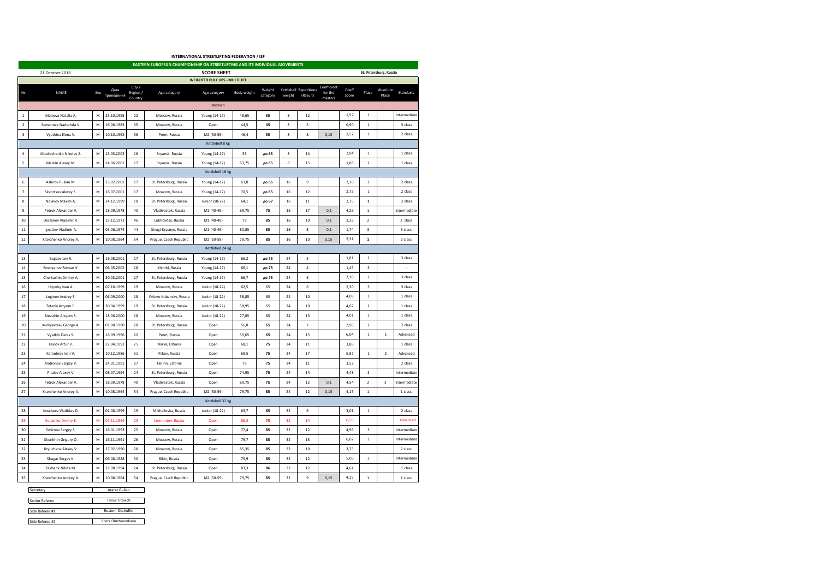|                         |                                                                                                                      |     |                    |                     |                         | INTERNATIONAL STREETLIFTING FEDERATION / ISF |                    |                    |              |                                    |                    |                |                         |                           |              |  |  |  |  |
|-------------------------|----------------------------------------------------------------------------------------------------------------------|-----|--------------------|---------------------|-------------------------|----------------------------------------------|--------------------|--------------------|--------------|------------------------------------|--------------------|----------------|-------------------------|---------------------------|--------------|--|--|--|--|
|                         | EASTERN EUROPEAN CHAMPIONSHIP ON STREETLIFTING AND ITS INDIVIDUAL MOVEMENTS<br>21 October 2018<br><b>SCORE SHEET</b> |     |                    |                     |                         |                                              |                    |                    |              |                                    |                    |                |                         |                           |              |  |  |  |  |
|                         |                                                                                                                      |     |                    |                     |                         | <b>WEIGHTED PULL UPS - MULTILIFT</b>         |                    |                    |              |                                    |                    |                |                         | St. Petersburg, Russia    |              |  |  |  |  |
|                         |                                                                                                                      |     |                    | City /              |                         |                                              |                    |                    |              |                                    | Coefficient        |                |                         |                           |              |  |  |  |  |
| N <sub>2</sub>          | NAME                                                                                                                 | Sex | Дата<br>проведения | Region /<br>Country | Age category            | Age category                                 | <b>Body weight</b> | Weight<br>category | weight       | Kettlebell Repetitions<br>(Result) | for the<br>masters | Coeff<br>Score | Place                   | Absolute<br>Place         | Standarts    |  |  |  |  |
|                         |                                                                                                                      |     |                    |                     |                         | Women                                        |                    |                    |              |                                    |                    |                |                         |                           |              |  |  |  |  |
| $\mathbf{1}$            | Maleeva Natalia A.                                                                                                   | ж   | 25.10.1995         | 22                  | Moscow, Russia          | Young (14-17)                                | 48,65              | 55                 | 8            | 12                                 |                    | 1,97           | $\mathbf{1}$            |                           | Intermediate |  |  |  |  |
| $\overline{z}$          | Semenova Nadezhda V.                                                                                                 | M   | 16.06.1983         | 35                  | Moscow, Russia          | Open                                         | 44.5               | 45                 | $\mathbf{R}$ | 5                                  |                    | 0,90           | $1\,$                   |                           | 3 class      |  |  |  |  |
| $\overline{\mathbf{3}}$ | Vyatkina Elena V.                                                                                                    | М   | 10.10.1962         | 56                  | Perm, Russia            | M2 (50-59)                                   | 48.4               | 55                 | 8            | 8                                  | 0.15               | 1.52           | $\,$ 1 $\,$             |                           | 2 class      |  |  |  |  |
|                         |                                                                                                                      |     |                    |                     |                         | Kettlebell 8 kg                              |                    |                    |              |                                    |                    |                |                         |                           |              |  |  |  |  |
| $\overline{4}$          | Kibalnichenko Nikolay S.                                                                                             | M   | 13.03.2002         | 16                  | Bryansk, Russia         | Young (14-17)                                | 55                 | до 65              | 8            | 14                                 |                    | 2,04           | $\overline{1}$          |                           | 1 class      |  |  |  |  |
| 5                       | Markin Alexey M.                                                                                                     | М   | 14.06.2001         | 17                  | Bryansk, Russia         | Young (14-17)                                | 63,75              | до 65              | 8            | 15                                 |                    | 1.88           | $\overline{2}$          |                           | 1 class      |  |  |  |  |
| Kettlebell 16 kg        |                                                                                                                      |     |                    |                     |                         |                                              |                    |                    |              |                                    |                    |                |                         |                           |              |  |  |  |  |
| 6                       | Ashirov Ruslan M.                                                                                                    | М   | 13.02.2001         | 17                  | St. Petersburg, Russia  | Young (14-17)                                | 63,8               | до 66              | 16           | 9                                  |                    | 2,26           | $\overline{2}$          |                           | 2 class      |  |  |  |  |
| $\overline{7}$          | Skvortsov Alexey S.                                                                                                  | M   | 16.07.2001         | 17                  | Moscow, Russia          | Young (14-17)                                | 70,5               | до 65              | 16           | 12                                 |                    | 2,72           | $\mathbf{1}$            |                           | 2 class      |  |  |  |  |
| 8                       | Novikov Maxim A.                                                                                                     | M   | 24.12.1999         | 18                  | St. Petersburg, Russia  | Junior (18-22)                               | 64,1               | до 67              | 16           | 11                                 |                    | 2,75           | $\mathbf 1$             |                           | 2 class      |  |  |  |  |
| $\mathbf{q}$            | Petruk Alexander V.                                                                                                  | M   | 18.09.1978         | 40                  | Vladivostok, Russia     | M1 (40-49)                                   | 69.75              | 75                 | 16           | 17                                 | 0.1                | 4.29           | $\overline{1}$          |                           | Intermediate |  |  |  |  |
| 10                      | Derzanov Vladimir V.                                                                                                 | M   | 15.12.1971         | 46                  | Lukhovitsy, Russia      | M1 (40-49)                                   | 77                 | 85                 | 16           | 10                                 | 0.1                | 2,29           | $\mathbf 2$             |                           | 2 class      |  |  |  |  |
| 11                      | Ignatiev Vladimir A.                                                                                                 | М   | 03.06.1974         | 44                  | Strugi-Krasnye, Russia  | M1 (40-49)                                   | 80,85              | 85                 | 16           | 8                                  | 0.1                | 1,74           | 3                       |                           | 3 class      |  |  |  |  |
| 12                      | Kravchenko Andrey A                                                                                                  | M   | 10.08.1964         | 54                  | Prague, Czech Republic  | M2 (50-59)                                   | 79.75              | 85                 | 16           | 10                                 | 0.15               | 2,31           | $\mathbf{1}$            |                           | 2 class      |  |  |  |  |
|                         | Kettlebell 24 kg                                                                                                     |     |                    |                     |                         |                                              |                    |                    |              |                                    |                    |                |                         |                           |              |  |  |  |  |
| 13                      | Bugaev Lev R.                                                                                                        | M   | 16.08.2001         | 17                  | St. Petersburg, Russia  | Young (14-17)                                | 66.2               | до 75              | 24           | 5                                  |                    | 1.81           | $\overline{2}$          |                           | 3 class      |  |  |  |  |
| 14                      | Emelyanov Roman V.                                                                                                   | M   | 06.05.2002         | 16                  | Khimki, Russia          | Young (14-17)                                | 66,1               | до 75              | 24           | $\boldsymbol{4}$                   |                    | 1,45           | 3                       |                           |              |  |  |  |  |
| 15                      | Cherkashin Dmitry A.                                                                                                 | M   | 30.03.2001         | 17                  | St. Petersburg, Russia  | Young (14-17)                                | 66.7               | до 75              | 24           | 6                                  |                    | 2.16           | $\overline{1}$          |                           | 3 class      |  |  |  |  |
| 16                      | Uryvsky Ivan A.                                                                                                      | M   | 07.10.1999         | 19                  | Moscow, Russia          | Junior (18-22)                               | 62.5               | 65                 | 24           | $\overline{6}$                     |                    | 2,30           | $\mathsf 3$             |                           | 3 class      |  |  |  |  |
| 17                      | Loginov Andrey S.                                                                                                    | М   | 06.09.2000         | 18                  | Orlovo-Kubansky, Russia | Junior (18-22)                               | 58,85              | 65                 | 24           | 10                                 |                    | 4.08           | $\mathbf{1}$            |                           | 1 class      |  |  |  |  |
| 18                      | Teterin Artvom E.                                                                                                    | M   | 30.04.1999         | 19                  | St. Petersburg, Russia  | Junior (18-22)                               | 58.95              | 65                 | 24           | 10                                 |                    | 4,07           | $\overline{\mathbf{2}}$ |                           | 1 class      |  |  |  |  |
| 19                      | Nevizhin Artyom S.                                                                                                   | М   | 18.06.2000         | 18                  | Moscow, Russia          | Junior (18-22)                               | 77,85              | 85                 | 24           | 13                                 |                    | 4,01           | $\,$ 1                  |                           | 1 class      |  |  |  |  |
| 20                      | Kudryavtsev Georgy A.                                                                                                | M   | 01.08.1990         | 28                  | St. Petersburg, Russia  | Open                                         | 56,8               | 65                 | 24           | $\overline{7}$                     |                    | 2.96           | $\overline{2}$          |                           | 2 class      |  |  |  |  |
| 21                      | Vyatkin Denis S.                                                                                                     | М   | 16.09.1996         | 22                  | Perm, Russia            | Open                                         | 59,65              | 65                 | 24           | 15                                 |                    | 6,04           | $\,$ 1                  | $\mathbf 1$               | Advanced     |  |  |  |  |
| 22                      | Krylov Artur V.                                                                                                      | M   | 22.04.1993         | 25                  | Narva, Estonia          | Open                                         | 68,1               | 75                 | 24           | 11                                 |                    | 3.88           |                         |                           | 1 class      |  |  |  |  |
| 23                      | Karaninov Ivan V.                                                                                                    | M   | 10.12.1986         | 31                  | Pskov, Russia           | Open                                         | 69,5               | 75                 | 24           | 17                                 |                    | 5,87           | $\,$ 1 $\,$             | $\mathbf 2$               | Advanced     |  |  |  |  |
| 24                      | Andronov Sergey V.                                                                                                   | М   | 24.01.1991         | 27                  | Tallinn, Estonia        | Open                                         | 75                 | 75                 | 24           | $11\,$                             |                    | 3.52           |                         |                           | 2 class      |  |  |  |  |
| 25                      | Pitalev Alexev V.                                                                                                    | M   | 08.07.1994         | 24                  | St. Petersburg, Russia  | Open                                         | 74.95              | 75                 | 24           | 14                                 |                    | 4,48           | 3                       |                           | Intermediate |  |  |  |  |
| 26                      | Petruk Alexander V.                                                                                                  | М   | 18.09.1978         | 40                  | Vladivostok, Russia     | Open                                         | 69,75              | 75                 | 24           | 12                                 | 0,1                | 4,54           | $\overline{2}$          | $\ensuremath{\mathsf{3}}$ | Intermediate |  |  |  |  |
| 27                      | Kravchenko Andrey A.                                                                                                 | M   | 10.08.1964         | 54                  | Prague, Czech Republic  | M2 (50-59)                                   | 79.75              | 85                 | 24           | 12                                 | 0.15               | 4.15           | $\mathbf{1}$            |                           | 1 class      |  |  |  |  |
|                         |                                                                                                                      |     |                    |                     |                         | Kettlebell 32 kg                             |                    |                    |              |                                    |                    |                |                         |                           |              |  |  |  |  |
| 28                      | Koscheev Vladislav D.                                                                                                | M   | 02.08.1999         | 19                  | Mikhailovka, Russia     | Junior (18-22)                               | 63,7               | 65                 | 32           | 6                                  |                    | 3,01           | $\mathbf{1}$            |                           | 2 class      |  |  |  |  |
| 29                      | Dotsenko Dmitry E.                                                                                                   | M   | 07.11.1994         | 23                  | Lermontov, Russia       | Open                                         | 68,3               | 75                 | 32           | 14                                 |                    | 6,56           |                         |                           | Advanced     |  |  |  |  |
| 30                      | Smirnov Sergey S.                                                                                                    | М   | 16.01.1993         | 25                  | Moscow, Russia          | Open                                         | 77,4               | 85                 | 32           | 12                                 |                    | 4.96           | $\overline{\mathbf{3}}$ |                           | Intermediate |  |  |  |  |
| 31                      | Skurikhin Grigory O.                                                                                                 | M   | 16.11.1991         | 26                  | Moscow, Russia          | Open                                         | 79.7               | 85                 | 32           | 15                                 |                    | 6.02           | $\,$ 1 $\,$             |                           | Intermediate |  |  |  |  |
| 32                      | Kryuchkov Alexey V.                                                                                                  | М   | 27.02.1990         | 28                  | Moscow, Russia          | Open                                         | 85,35              | 85                 | 32           | 10                                 |                    | 3,75           |                         |                           | 2 class      |  |  |  |  |
| 33                      | Skugar Sergey K.                                                                                                     | M   | 06.08.1988         | 30                  | Bikin, Russia           | Open                                         | 75.9               | 85                 | 32           | 12                                 |                    | 5.06           | $\overline{2}$          |                           | Intermediate |  |  |  |  |
| 34                      | Zakharik Nikita M.                                                                                                   | М   | 27.08.1994         | 24                  | St. Petersburg, Russia  | Open                                         | 83,3               | 86                 | 32           | 12                                 |                    | 4,61           |                         |                           | 1 class      |  |  |  |  |
| 35                      | Kravchenko Andrey A                                                                                                  | M   | 10.08.1964         | 54                  | Prague, Czech Republic  | M2 (50-59)                                   | 79.75              | 85                 | 32           | 9                                  | 0,15               | 4.15           | $\mathbf{1}$            |                           | 1 class      |  |  |  |  |
|                         |                                                                                                                      |     |                    |                     |                         |                                              |                    |                    |              |                                    |                    |                |                         |                           |              |  |  |  |  |

| Secretary<br>Side Referee #2 | Ararat Gulian            |
|------------------------------|--------------------------|
| <b>Senior Referee</b>        | <b>Timur Titovich</b>    |
| Side Referee #1              | <b>Rustem Khairullin</b> |
|                              | Elvira Dluzhnevskava     |